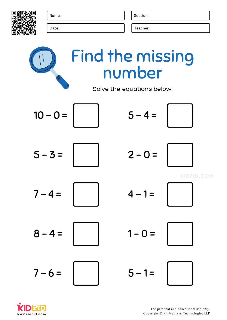



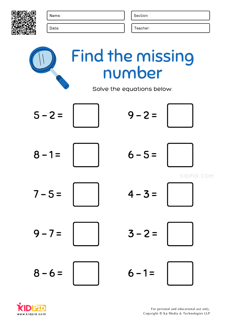



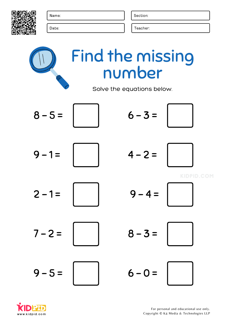

Date: Teacher: The United States of the United States of the United States of the United States of the United States of the United States of the United States of the United States of the United States of the United States



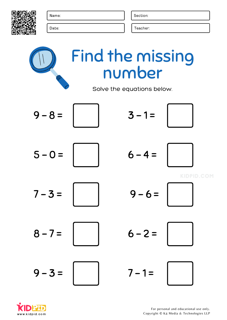

Date: Teacher: The United States of the United States of the United States of the United States of the United States of the United States of the United States of the United States of the United States of the United States



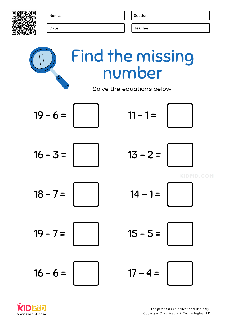

Date: Teacher: The United States of the United States of the United States of the United States of the United States of the United States of the United States of the United States of the United States of the United States



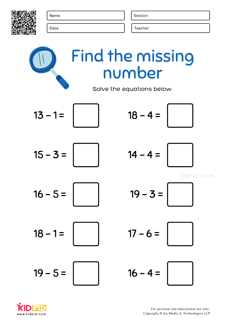



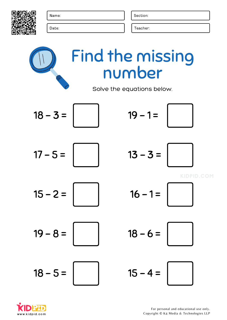